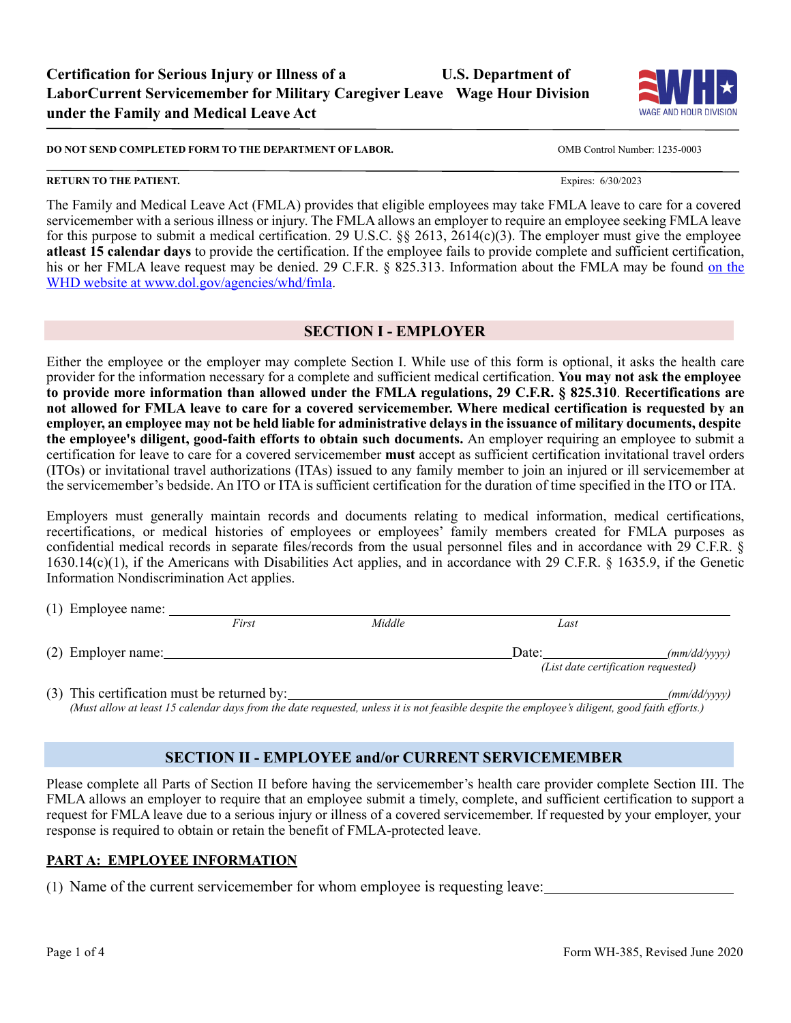

**DO NOT SEND COMPLETED FORM TO THE DEPARTMENT OF LABOR.** OMB Control Number: 1235-0003

#### **RETURN TO THE PATIENT.** Expires: 6/30/2023

The Family and Medical Leave Act (FMLA) provides that eligible employees may take FMLA leave to care for a covered servicemember with a serious illness or injury. The FMLA allows an employer to require an employee seeking FMLA leave for this purpose to submit a medical certification. 29 U.S.C. §§ 2613, 2614(c)(3). The employer must give the employee **atleast 15 calendar days** to provide the certification. If the employee fails to provide complete and sufficient certification, his or her FMLA leave request may be denied. 29 C.F.R. § 825.313. Information about the FMLA may be found on the WHD website at [www.dol.gov/agencies/whd/fmla.](http://www.dol.gov/agencies/whd/fmla)

#### **SECTION I - EMPLOYER**

Either the employee or the employer may complete Section I. While use of this form is optional, it asks the health care provider for the information necessary for a complete and sufficient medical certification. **You may not ask the employee to provide more information than allowed under the FMLA regulations, 29 C.F.R. § 825.310**. **Recertifications are not allowed for FMLA leave to care for a covered servicemember. Where medical certification is requested by an** employer, an employee may not be held liable for administrative delays in the issuance of military documents, despite **the employee's diligent, good-faith efforts to obtain such documents.** An employer requiring an employee to submit a certification for leave to care for a covered servicemember **must** accept as sufficient certification invitational travel orders (ITOs) or invitational travel authorizations (ITAs) issued to any family member to join an injured or ill servicemember at the servicemember's bedside. An ITO or ITA is sufficient certification for the duration of time specified in the ITO or ITA.

Employers must generally maintain records and documents relating to medical information, medical certifications, recertifications, or medical histories of employees or employees' family members created for FMLA purposes as confidential medical records in separate files/records from the usual personnel files and in accordance with 29 C.F.R. § 1630.14(c)(1), if the Americans with Disabilities Act applies, and in accordance with 29 C.F.R. § 1635.9, if the Genetic Information Nondiscrimination Act applies.

| $(1)$ Employee name:                        |       |        |                                              |              |
|---------------------------------------------|-------|--------|----------------------------------------------|--------------|
|                                             | First | Middle | Last                                         |              |
| (2) Employer name:                          |       |        | Date:<br>(List date certification requested) | (mm/dd/vvvv) |
| (3) This certification must be returned by: |       |        |                                              | (mm/dd/vvvv) |

(Must allow at least 15 calendar days from the date requested, unless it is not feasible despite the employee's diligent, good faith efforts.)

## **SECTION II - EMPLOYEE and/or CURRENT SERVICEMEMBER**

Please complete all Parts of Section II before having the servicemember's health care provider complete Section III. The FMLA allows an employer to require that an employee submit a timely, complete, and sufficient certification to support a request for FMLA leave due to a serious injury or illness of a covered servicemember. If requested by your employer, your response is required to obtain or retain the benefit of FMLA-protected leave.

#### **PART A: EMPLOYEE INFORMATION**

(1) Name of the current servicemember for whom employee is requesting leave: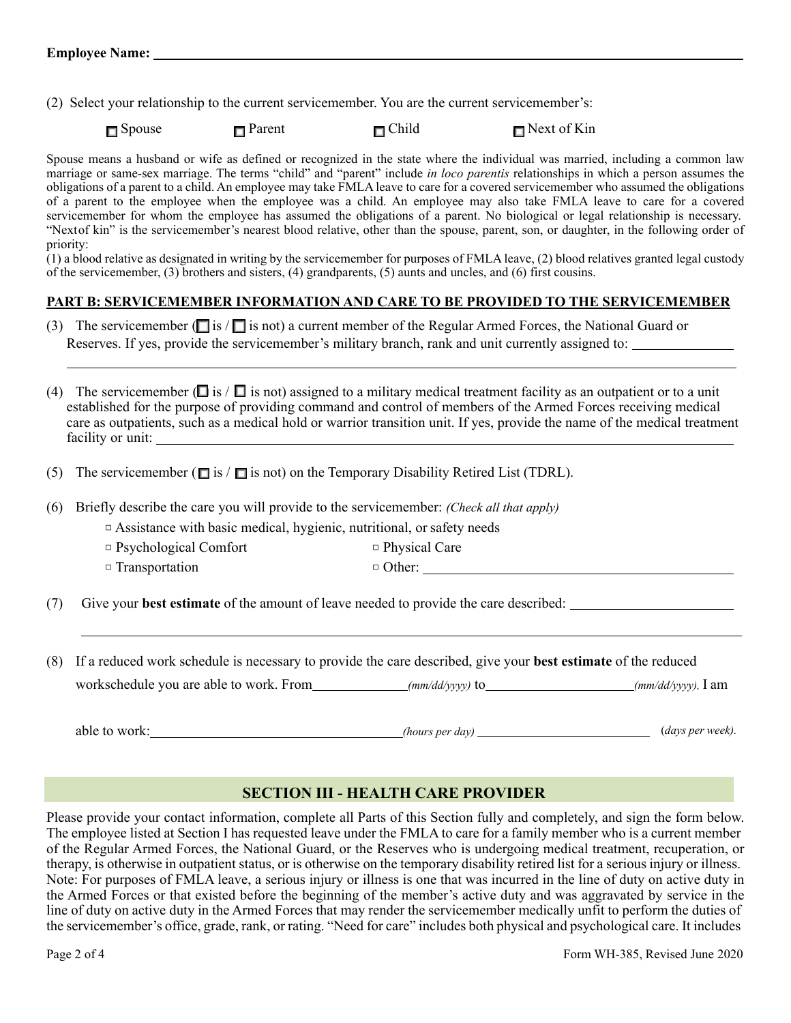(2) Select your relationship to the current servicemember. You are the current servicemember's:

□ Spouse □ Parent □ Child  $\Box$  Spouse  $\Box$  Parent  $\Box$  Child  $\Box$  Next of Kin

Spouse means a husband or wife as defined or recognized in the state where the individual was married, including a common law marriage or same-sex marriage. The terms "child" and "parent" include *in loco parentis* relationships in which a person assumes the obligations of a parent to a child. An employee may take FMLA leave to care for a covered servicemember who assumed the obligations of a parent to the employee when the employee was a child. An employee may also take FMLA leave to care for a covered servicemember for whom the employee has assumed the obligations of a parent. No biological or legal relationship is necessary. "Nextof kin" is the servicemember's nearest blood relative, other than the spouse, parent, son, or daughter, in the following order of priority:

(1) a blood relative as designated in writing by the servicemember for purposes of FMLA leave, (2) blood relatives granted legal custody of the servicemember, (3) brothers and sisters, (4) grandparents, (5) aunts and uncles, and (6) first cousins.

## **PART B: SERVICEMEMBER INFORMATION AND CARE TO BE PROVIDED TO THE SERVICEMEMBER**

(3) The servicemember ( $\Box$  is  $\Box$  is not) a current member of the Regular Armed Forces, the National Guard or Reserves. If yes, provide the servicemember's military branch, rank and unit currently assigned to:

(4) The servicemember ( $\Box$  is / $\Box$  is not) assigned to a military medical treatment facility as an outpatient or to a unit established for the purpose of providing command and control of members of the Armed Forces receiving medical care as outpatients, such as a medical hold or warrior transition unit. If yes, provide the name of the medical treatment facility or unit:

(5) The servicemember ( $\square$  is / $\square$  is not) on the Temporary Disability Retired List (TDRL).

(6) Briefly describe the care you will provide to the servicemember: *(Check all that apply)*

 $\Box$  Assistance with basic medical, hygienic, nutritional, or safety needs

□ Psychological Comfort □ Physical Care

□ Transportation □ Other: △ Other: △ Other: △ Other: △ Other: △ Other: △ Other: △ Other: △ Other: △ Other: △ Other: △ Other: △ Other: △ Other: △ Other: △ Other: △ Other: △ Other: △ Other: △ Other: △ Other: △ Other: △ Othe

(7) Give your **best estimate** of the amount of leave needed to provide the care described:

(8) If a reduced work schedule is necessary to provide the care described, give your **best estimate** of the reduced workschedule you are able to work. From *(mm/dd/yyyy)* to *(mm/dd/yyyy)* to *(mm/dd/yyyy)*, I am

able to work: *(hours per day)* (*days per week).*

## **SECTION III - HEALTH CARE PROVIDER**

Please provide your contact information, complete all Parts of this Section fully and completely, and sign the form below. The employee listed at Section I has requested leave under the FMLA to care for a family member who is a current member of the Regular Armed Forces, the National Guard, or the Reserves who is undergoing medical treatment, recuperation, or therapy, is otherwise in outpatient status, or is otherwise on the temporary disability retired list for a serious injury or illness. Note: For purposes of FMLA leave, a serious injury or illness is one that was incurred in the line of duty on active duty in the Armed Forces or that existed before the beginning of the member's active duty and was aggravated by service in the line of duty on active duty in the Armed Forces that may render the servicemember medically unfit to perform the duties of the servicemember's office, grade, rank, or rating. "Need for care" includes both physical and psychological care. It includes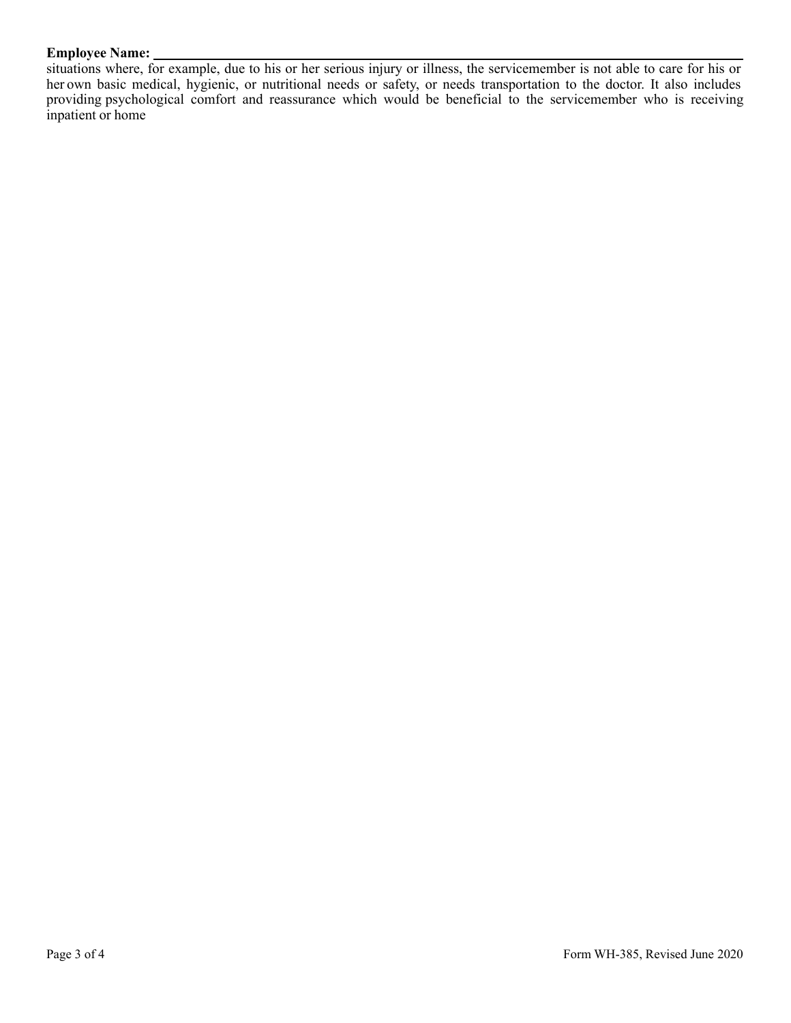#### **Employee Name:**

situations where, for example, due to his or her serious injury or illness, the servicemember is not able to care for his or her own basic medical, hygienic, or nutritional needs or safety, or needs transportation to the doctor. It also includes providing psychological comfort and reassurance which would be beneficial to the servicemember who is receiving inpatient or home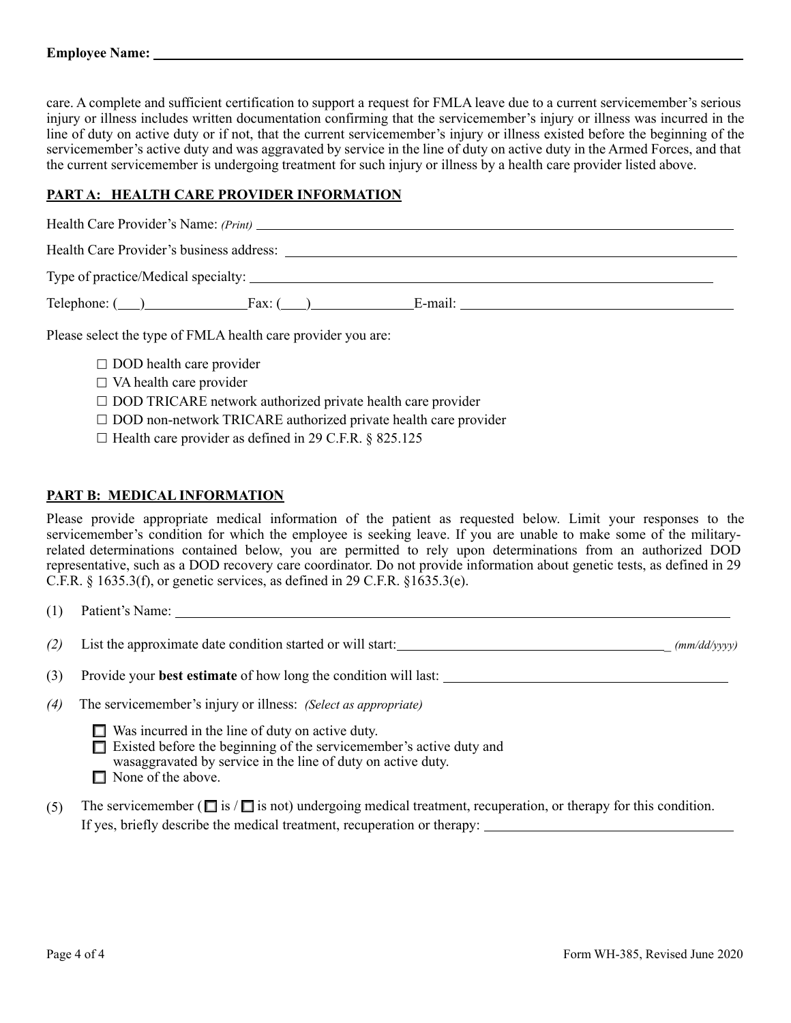care. A complete and sufficient certification to support a request for FMLA leave due to a current servicemember's serious injury or illness includes written documentation confirming that the servicemember's injury or illness was incurred in the line of duty on active duty or if not, that the current servicemember's injury or illness existed before the beginning of the servicemember's active duty and was aggravated by service in the line of duty on active duty in the Armed Forces, and that the current servicemember is undergoing treatment for such injury or illness by a health care provider listed above.

## **PART A: HEALTH CARE PROVIDER INFORMATION**

| Health Care Provider's Name: (Print)                                      |         |  |
|---------------------------------------------------------------------------|---------|--|
| Health Care Provider's business address:                                  |         |  |
|                                                                           |         |  |
| $\text{Telephone: } (\_\_\_\_\_\_\_\_\_\$ Fax: $(\_\_\_\_\_\_\_\_\_\_\_\$ | E-mail: |  |

Please select the type of FMLA health care provider you are:

- $\square$  DOD health care provider
- $\square$  VA health care provider
- $\square$  DOD TRICARE network authorized private health care provider
- □ DOD non-network TRICARE authorized private health care provider
- $\Box$  Health care provider as defined in 29 C.F.R. § 825.125

#### **PART B: MEDICAL INFORMATION**

Please provide appropriate medical information of the patient as requested below. Limit your responses to the servicemember's condition for which the employee is seeking leave. If you are unable to make some of the militaryrelated determinations contained below, you are permitted to rely upon determinations from an authorized DOD representative, such as a DOD recovery care coordinator. Do not provide information about genetic tests, as defined in 29 C.F.R. § 1635.3(f), or genetic services, as defined in 29 C.F.R. §1635.3(e).

| (1) | Patient's Name:                                                                                                                       |
|-----|---------------------------------------------------------------------------------------------------------------------------------------|
| (2) | List the approximate date condition started or will start:<br>(mm/dd/yyyy)                                                            |
| (3) | Provide your <b>best estimate</b> of how long the condition will last:                                                                |
| (4) | The servicemember's injury or illness: <i>(Select as appropriate)</i>                                                                 |
|     | $\Box$ Was incurred in the line of duty on active duty.<br>$\Box$ Eviated hefere the hegipping of the corrieonember's ective duty and |

- □ Existed before the beginning of the servicemember's active duty and wasaggravated by service in the line of duty on active duty.
- □ None of the above.
- (5) The servicemember ( $\Box$  is  $\Box$  is not) undergoing medical treatment, recuperation, or therapy for this condition. If yes, briefly describe the medical treatment, recuperation or therapy: